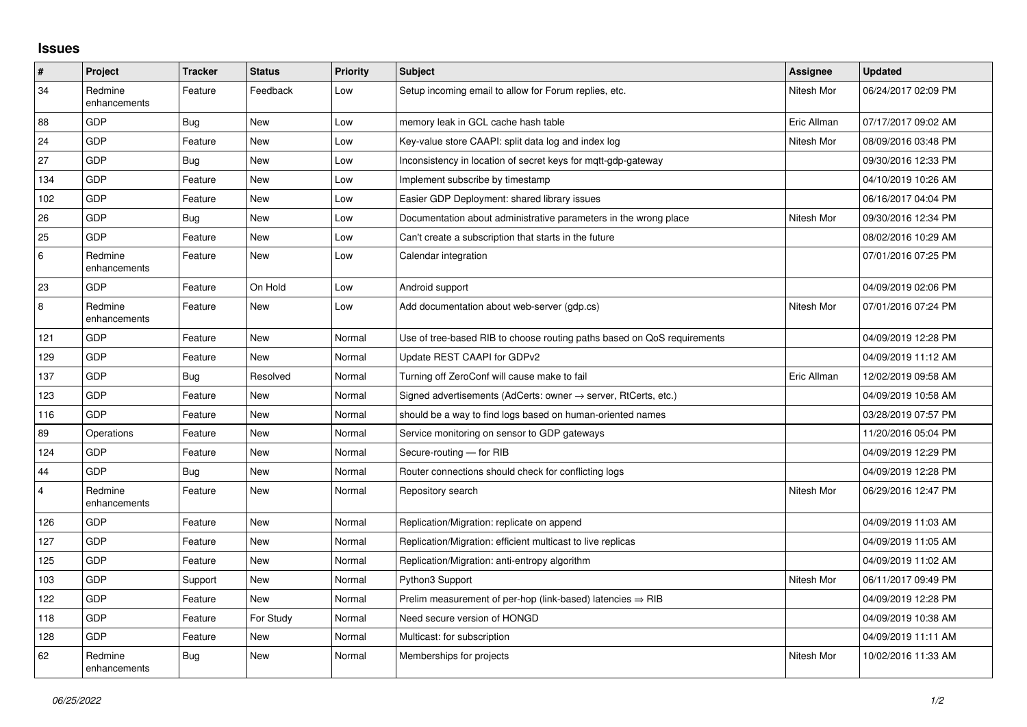## **Issues**

| $\vert$ #      | Project                 | <b>Tracker</b> | <b>Status</b> | <b>Priority</b> | <b>Subject</b>                                                             | Assignee    | <b>Updated</b>      |
|----------------|-------------------------|----------------|---------------|-----------------|----------------------------------------------------------------------------|-------------|---------------------|
| 34             | Redmine<br>enhancements | Feature        | Feedback      | Low             | Setup incoming email to allow for Forum replies, etc.                      | Nitesh Mor  | 06/24/2017 02:09 PM |
| 88             | <b>GDP</b>              | Bug            | <b>New</b>    | Low             | memory leak in GCL cache hash table                                        | Eric Allman | 07/17/2017 09:02 AM |
| 24             | GDP                     | Feature        | <b>New</b>    | Low             | Key-value store CAAPI: split data log and index log                        | Nitesh Mor  | 08/09/2016 03:48 PM |
| 27             | <b>GDP</b>              | <b>Bug</b>     | <b>New</b>    | Low             | Inconsistency in location of secret keys for mqtt-gdp-gateway              |             | 09/30/2016 12:33 PM |
| 134            | <b>GDP</b>              | Feature        | <b>New</b>    | Low             | Implement subscribe by timestamp                                           |             | 04/10/2019 10:26 AM |
| 102            | <b>GDP</b>              | Feature        | <b>New</b>    | Low             | Easier GDP Deployment: shared library issues                               |             | 06/16/2017 04:04 PM |
| 26             | GDP                     | Bug            | New           | Low             | Documentation about administrative parameters in the wrong place           | Nitesh Mor  | 09/30/2016 12:34 PM |
| 25             | <b>GDP</b>              | Feature        | <b>New</b>    | Low             | Can't create a subscription that starts in the future                      |             | 08/02/2016 10:29 AM |
| $\,6\,$        | Redmine<br>enhancements | Feature        | <b>New</b>    | Low             | Calendar integration                                                       |             | 07/01/2016 07:25 PM |
| 23             | <b>GDP</b>              | Feature        | On Hold       | Low             | Android support                                                            |             | 04/09/2019 02:06 PM |
| $\bf 8$        | Redmine<br>enhancements | Feature        | <b>New</b>    | Low             | Add documentation about web-server (gdp.cs)                                | Nitesh Mor  | 07/01/2016 07:24 PM |
| 121            | <b>GDP</b>              | Feature        | <b>New</b>    | Normal          | Use of tree-based RIB to choose routing paths based on QoS requirements    |             | 04/09/2019 12:28 PM |
| 129            | GDP                     | Feature        | <b>New</b>    | Normal          | Update REST CAAPI for GDPv2                                                |             | 04/09/2019 11:12 AM |
| 137            | <b>GDP</b>              | Bug            | Resolved      | Normal          | Turning off ZeroConf will cause make to fail                               | Eric Allman | 12/02/2019 09:58 AM |
| 123            | <b>GDP</b>              | Feature        | <b>New</b>    | Normal          | Signed advertisements (AdCerts: owner $\rightarrow$ server, RtCerts, etc.) |             | 04/09/2019 10:58 AM |
| 116            | GDP                     | Feature        | <b>New</b>    | Normal          | should be a way to find logs based on human-oriented names                 |             | 03/28/2019 07:57 PM |
| 89             | Operations              | Feature        | <b>New</b>    | Normal          | Service monitoring on sensor to GDP gateways                               |             | 11/20/2016 05:04 PM |
| 124            | GDP                     | Feature        | <b>New</b>    | Normal          | Secure-routing - for RIB                                                   |             | 04/09/2019 12:29 PM |
| 44             | GDP                     | Bug            | <b>New</b>    | Normal          | Router connections should check for conflicting logs                       |             | 04/09/2019 12:28 PM |
| $\overline{4}$ | Redmine<br>enhancements | Feature        | <b>New</b>    | Normal          | Repository search                                                          | Nitesh Mor  | 06/29/2016 12:47 PM |
| 126            | <b>GDP</b>              | Feature        | <b>New</b>    | Normal          | Replication/Migration: replicate on append                                 |             | 04/09/2019 11:03 AM |
| 127            | GDP                     | Feature        | <b>New</b>    | Normal          | Replication/Migration: efficient multicast to live replicas                |             | 04/09/2019 11:05 AM |
| 125            | <b>GDP</b>              | Feature        | <b>New</b>    | Normal          | Replication/Migration: anti-entropy algorithm                              |             | 04/09/2019 11:02 AM |
| 103            | <b>GDP</b>              | Support        | New           | Normal          | Python3 Support                                                            | Nitesh Mor  | 06/11/2017 09:49 PM |
| 122            | GDP                     | Feature        | <b>New</b>    | Normal          | Prelim measurement of per-hop (link-based) latencies ⇒ RIB                 |             | 04/09/2019 12:28 PM |
| 118            | <b>GDP</b>              | Feature        | For Study     | Normal          | Need secure version of HONGD                                               |             | 04/09/2019 10:38 AM |
| 128            | <b>GDP</b>              | Feature        | <b>New</b>    | Normal          | Multicast: for subscription                                                |             | 04/09/2019 11:11 AM |
| 62             | Redmine<br>enhancements | Bug            | <b>New</b>    | Normal          | Memberships for projects                                                   | Nitesh Mor  | 10/02/2016 11:33 AM |